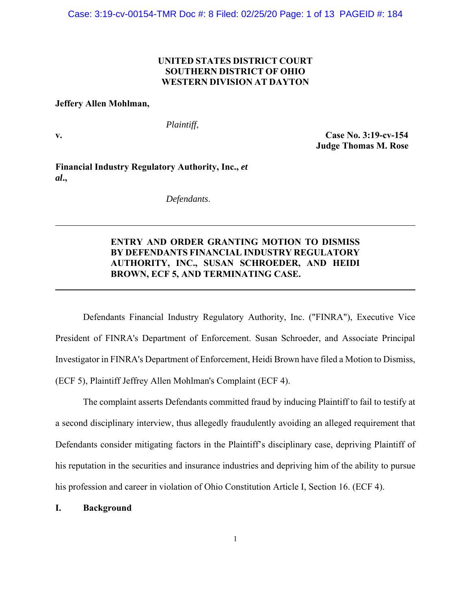## **UNITED STATES DISTRICT COURT SOUTHERN DISTRICT OF OHIO WESTERN DIVISION AT DAYTON**

#### **Jeffery Allen Mohlman,**

*Plaintiff*,

**v. Case No. 3:19-cv-154 Judge Thomas M. Rose** 

**Financial Industry Regulatory Authority, Inc.,** *et al***.,** 

*Defendants*.

# **ENTRY AND ORDER GRANTING MOTION TO DISMISS BY DEFENDANTS FINANCIAL INDUSTRY REGULATORY AUTHORITY, INC., SUSAN SCHROEDER, AND HEIDI BROWN, ECF 5, AND TERMINATING CASE.**

 Defendants Financial Industry Regulatory Authority, Inc. ("FINRA"), Executive Vice President of FINRA's Department of Enforcement. Susan Schroeder, and Associate Principal Investigator in FINRA's Department of Enforcement, Heidi Brown have filed a Motion to Dismiss, (ECF 5), Plaintiff Jeffrey Allen Mohlman's Complaint (ECF 4).

 The complaint asserts Defendants committed fraud by inducing Plaintiff to fail to testify at a second disciplinary interview, thus allegedly fraudulently avoiding an alleged requirement that Defendants consider mitigating factors in the Plaintiff's disciplinary case, depriving Plaintiff of his reputation in the securities and insurance industries and depriving him of the ability to pursue his profession and career in violation of Ohio Constitution Article I, Section 16. (ECF 4).

### **I. Background**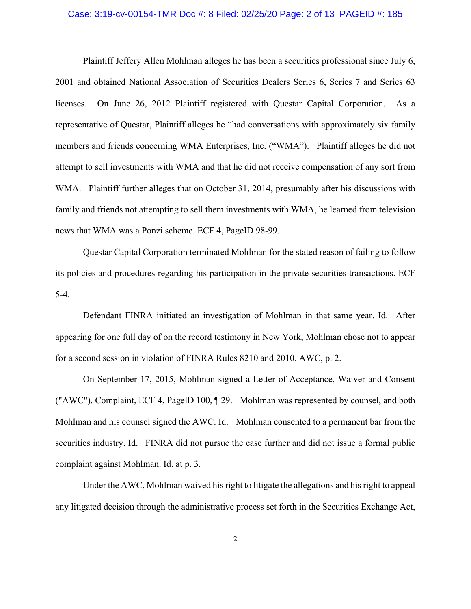### Case: 3:19-cv-00154-TMR Doc #: 8 Filed: 02/25/20 Page: 2 of 13 PAGEID #: 185

 Plaintiff Jeffery Allen Mohlman alleges he has been a securities professional since July 6, 2001 and obtained National Association of Securities Dealers Series 6, Series 7 and Series 63 licenses. On June 26, 2012 Plaintiff registered with Questar Capital Corporation. As a representative of Questar, Plaintiff alleges he "had conversations with approximately six family members and friends concerning WMA Enterprises, Inc. ("WMA"). Plaintiff alleges he did not attempt to sell investments with WMA and that he did not receive compensation of any sort from WMA. Plaintiff further alleges that on October 31, 2014, presumably after his discussions with family and friends not attempting to sell them investments with WMA, he learned from television news that WMA was a Ponzi scheme. ECF 4, PageID 98-99.

 Questar Capital Corporation terminated Mohlman for the stated reason of failing to follow its policies and procedures regarding his participation in the private securities transactions. ECF 5-4.

 Defendant FINRA initiated an investigation of Mohlman in that same year. Id. After appearing for one full day of on the record testimony in New York, Mohlman chose not to appear for a second session in violation of FINRA Rules 8210 and 2010. AWC, p. 2.

 On September 17, 2015, Mohlman signed a Letter of Acceptance, Waiver and Consent ("AWC"). Complaint, ECF 4, PagelD 100, ¶ 29. Mohlman was represented by counsel, and both Mohlman and his counsel signed the AWC. Id. Mohlman consented to a permanent bar from the securities industry. Id. FINRA did not pursue the case further and did not issue a formal public complaint against Mohlman. Id. at p. 3.

 Under the AWC, Mohlman waived his right to litigate the allegations and his right to appeal any litigated decision through the administrative process set forth in the Securities Exchange Act,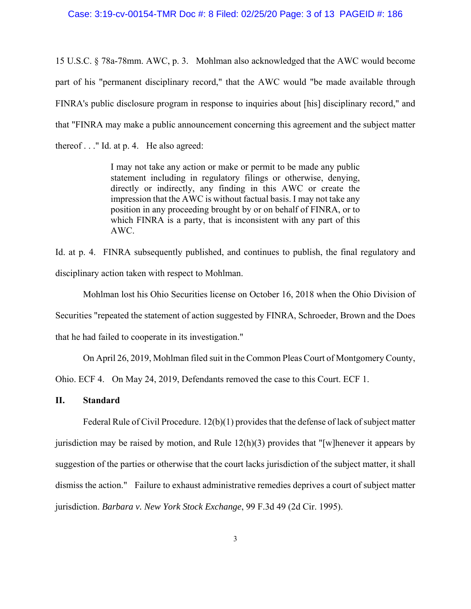#### Case: 3:19-cv-00154-TMR Doc #: 8 Filed: 02/25/20 Page: 3 of 13 PAGEID #: 186

15 U.S.C. § 78a-78mm. AWC, p. 3. Mohlman also acknowledged that the AWC would become part of his "permanent disciplinary record," that the AWC would "be made available through FINRA's public disclosure program in response to inquiries about [his] disciplinary record," and that "FINRA may make a public announcement concerning this agreement and the subject matter thereof . . ." Id. at p. 4. He also agreed:

> I may not take any action or make or permit to be made any public statement including in regulatory filings or otherwise, denying, directly or indirectly, any finding in this AWC or create the impression that the AWC is without factual basis. I may not take any position in any proceeding brought by or on behalf of FINRA, or to which FINRA is a party, that is inconsistent with any part of this AWC.

Id. at p. 4. FINRA subsequently published, and continues to publish, the final regulatory and disciplinary action taken with respect to Mohlman.

 Mohlman lost his Ohio Securities license on October 16, 2018 when the Ohio Division of Securities "repeated the statement of action suggested by FINRA, Schroeder, Brown and the Does that he had failed to cooperate in its investigation."

On April 26, 2019, Mohlman filed suit in the Common Pleas Court of Montgomery County,

Ohio. ECF 4. On May 24, 2019, Defendants removed the case to this Court. ECF 1.

### **II. Standard**

Federal Rule of Civil Procedure. 12(b)(1) provides that the defense of lack of subject matter jurisdiction may be raised by motion, and Rule  $12(h)(3)$  provides that "[w] henever it appears by suggestion of the parties or otherwise that the court lacks jurisdiction of the subject matter, it shall dismiss the action." Failure to exhaust administrative remedies deprives a court of subject matter jurisdiction. *Barbara v. New York Stock Exchange*, 99 F.3d 49 (2d Cir. 1995).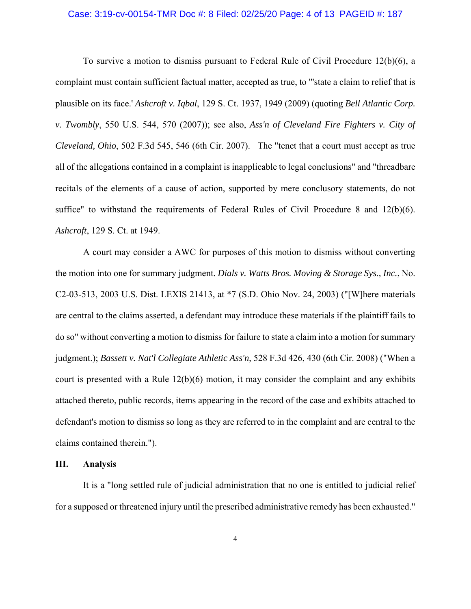#### Case: 3:19-cv-00154-TMR Doc #: 8 Filed: 02/25/20 Page: 4 of 13 PAGEID #: 187

 To survive a motion to dismiss pursuant to Federal Rule of Civil Procedure 12(b)(6), a complaint must contain sufficient factual matter, accepted as true, to "'state a claim to relief that is plausible on its face.' *Ashcroft v. Iqbal*, 129 S. Ct. 1937, 1949 (2009) (quoting *Bell Atlantic Corp. v. Twombly*, 550 U.S. 544, 570 (2007)); see also, *Ass'n of Cleveland Fire Fighters v. City of Cleveland, Ohio*, 502 F.3d 545, 546 (6th Cir. 2007). The "tenet that a court must accept as true all of the allegations contained in a complaint is inapplicable to legal conclusions" and "threadbare recitals of the elements of a cause of action, supported by mere conclusory statements, do not suffice" to withstand the requirements of Federal Rules of Civil Procedure 8 and 12(b)(6). *Ashcroft*, 129 S. Ct. at 1949.

 A court may consider a AWC for purposes of this motion to dismiss without converting the motion into one for summary judgment. *Dials v. Watts Bros. Moving & Storage Sys., Inc.*, No. C2-03-513, 2003 U.S. Dist. LEXIS 21413, at \*7 (S.D. Ohio Nov. 24, 2003) ("[W]here materials are central to the claims asserted, a defendant may introduce these materials if the plaintiff fails to do so" without converting a motion to dismiss for failure to state a claim into a motion for summary judgment.); *Bassett v. Nat'l Collegiate Athletic Ass'n*, 528 F.3d 426, 430 (6th Cir. 2008) ("When a court is presented with a Rule  $12(b)(6)$  motion, it may consider the complaint and any exhibits attached thereto, public records, items appearing in the record of the case and exhibits attached to defendant's motion to dismiss so long as they are referred to in the complaint and are central to the claims contained therein.").

#### **III. Analysis**

 It is a "long settled rule of judicial administration that no one is entitled to judicial relief for a supposed or threatened injury until the prescribed administrative remedy has been exhausted."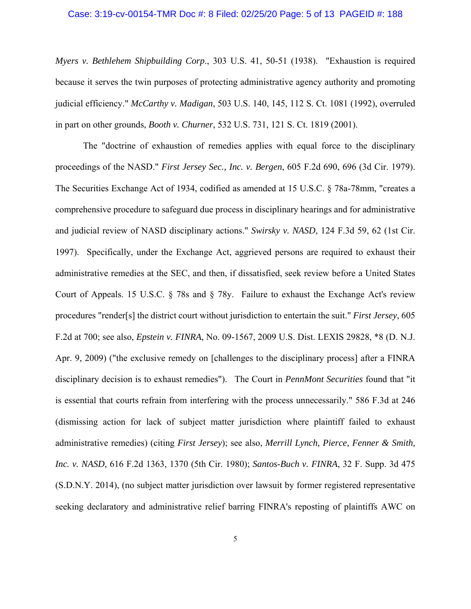#### Case: 3:19-cv-00154-TMR Doc #: 8 Filed: 02/25/20 Page: 5 of 13 PAGEID #: 188

*Myers v. Bethlehem Shipbuilding Corp*., 303 U.S. 41, 50-51 (1938). "Exhaustion is required because it serves the twin purposes of protecting administrative agency authority and promoting judicial efficiency." *McCarthy v. Madigan*, 503 U.S. 140, 145, 112 S. Ct. 1081 (1992), overruled in part on other grounds, *Booth v. Churner*, 532 U.S. 731, 121 S. Ct. 1819 (2001).

The "doctrine of exhaustion of remedies applies with equal force to the disciplinary proceedings of the NASD." *First Jersey Sec., Inc. v. Bergen*, 605 F.2d 690, 696 (3d Cir. 1979). The Securities Exchange Act of 1934, codified as amended at 15 U.S.C. § 78a-78mm, "creates a comprehensive procedure to safeguard due process in disciplinary hearings and for administrative and judicial review of NASD disciplinary actions." *Swirsky v. NASD*, 124 F.3d 59, 62 (1st Cir. 1997). Specifically, under the Exchange Act, aggrieved persons are required to exhaust their administrative remedies at the SEC, and then, if dissatisfied, seek review before a United States Court of Appeals. 15 U.S.C.  $\S$  78s and  $\S$  78y. Failure to exhaust the Exchange Act's review procedures "render[s] the district court without jurisdiction to entertain the suit." *First Jersey*, 605 F.2d at 700; see also, *Epstein v. FINRA*, No. 09-1567, 2009 U.S. Dist. LEXIS 29828, \*8 (D. N.J. Apr. 9, 2009) ("the exclusive remedy on [challenges to the disciplinary process] after a FINRA disciplinary decision is to exhaust remedies"). The Court in *PennMont Securities* found that "it is essential that courts refrain from interfering with the process unnecessarily." 586 F.3d at 246 (dismissing action for lack of subject matter jurisdiction where plaintiff failed to exhaust administrative remedies) (citing *First Jersey*); see also, *Merrill Lynch, Pierce, Fenner & Smith, Inc. v. NASD*, 616 F.2d 1363, 1370 (5th Cir. 1980); *Santos-Buch v. FINRA*, 32 F. Supp. 3d 475 (S.D.N.Y. 2014), (no subject matter jurisdiction over lawsuit by former registered representative seeking declaratory and administrative relief barring FINRA's reposting of plaintiffs AWC on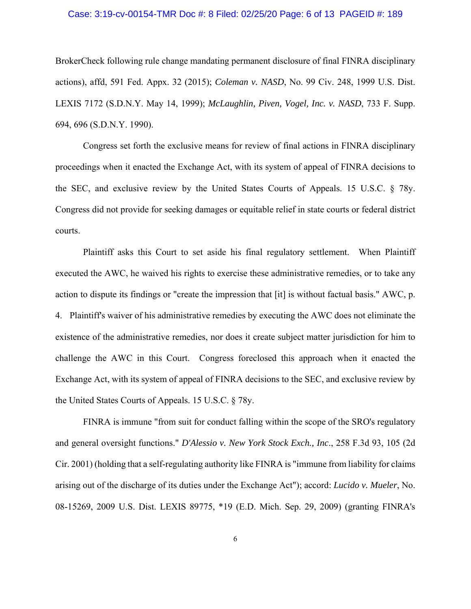### Case: 3:19-cv-00154-TMR Doc #: 8 Filed: 02/25/20 Page: 6 of 13 PAGEID #: 189

BrokerCheck following rule change mandating permanent disclosure of final FINRA disciplinary actions), affd, 591 Fed. Appx. 32 (2015); *Coleman v. NASD*, No. 99 Civ. 248, 1999 U.S. Dist. LEXIS 7172 (S.D.N.Y. May 14, 1999); *McLaughlin, Piven, Vogel, Inc. v. NASD*, 733 F. Supp. 694, 696 (S.D.N.Y. 1990).

Congress set forth the exclusive means for review of final actions in FINRA disciplinary proceedings when it enacted the Exchange Act, with its system of appeal of FINRA decisions to the SEC, and exclusive review by the United States Courts of Appeals. 15 U.S.C. § 78y. Congress did not provide for seeking damages or equitable relief in state courts or federal district courts.

 Plaintiff asks this Court to set aside his final regulatory settlement. When Plaintiff executed the AWC, he waived his rights to exercise these administrative remedies, or to take any action to dispute its findings or "create the impression that [it] is without factual basis." AWC, p. 4. Plaintiff's waiver of his administrative remedies by executing the AWC does not eliminate the existence of the administrative remedies, nor does it create subject matter jurisdiction for him to challenge the AWC in this Court. Congress foreclosed this approach when it enacted the Exchange Act, with its system of appeal of FINRA decisions to the SEC, and exclusive review by the United States Courts of Appeals. 15 U.S.C. § 78y.

FINRA is immune "from suit for conduct falling within the scope of the SRO's regulatory and general oversight functions." *D'Alessio v. New York Stock Exch., Inc*., 258 F.3d 93, 105 (2d Cir. 2001) (holding that a self-regulating authority like FINRA is "immune from liability for claims arising out of the discharge of its duties under the Exchange Act"); accord: *Lucido v. Mueler*, No. 08-15269, 2009 U.S. Dist. LEXIS 89775, \*19 (E.D. Mich. Sep. 29, 2009) (granting FINRA's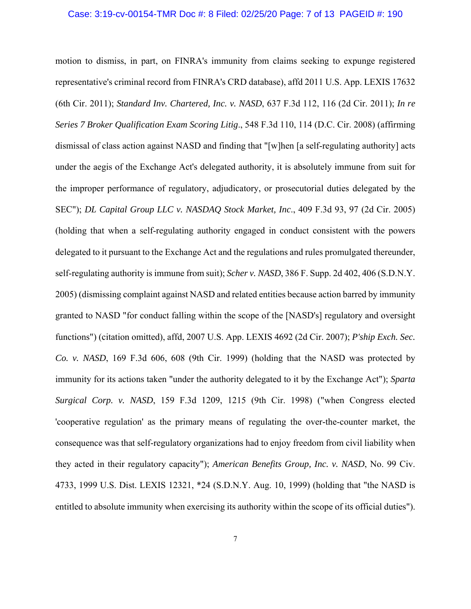#### Case: 3:19-cv-00154-TMR Doc #: 8 Filed: 02/25/20 Page: 7 of 13 PAGEID #: 190

motion to dismiss, in part, on FINRA's immunity from claims seeking to expunge registered representative's criminal record from FINRA's CRD database), affd 2011 U.S. App. LEXIS 17632 (6th Cir. 2011); *Standard Inv. Chartered, Inc. v. NASD*, 637 F.3d 112, 116 (2d Cir. 2011); *In re Series 7 Broker Qualification Exam Scoring Litig*., 548 F.3d 110, 114 (D.C. Cir. 2008) (affirming dismissal of class action against NASD and finding that "[w]hen [a self-regulating authority] acts under the aegis of the Exchange Act's delegated authority, it is absolutely immune from suit for the improper performance of regulatory, adjudicatory, or prosecutorial duties delegated by the SEC"); *DL Capital Group LLC v. NASDAQ Stock Market, Inc*., 409 F.3d 93, 97 (2d Cir. 2005) (holding that when a self-regulating authority engaged in conduct consistent with the powers delegated to it pursuant to the Exchange Act and the regulations and rules promulgated thereunder, self-regulating authority is immune from suit); *Scher v. NASD*, 386 F. Supp. 2d 402, 406 (S.D.N.Y. 2005) (dismissing complaint against NASD and related entities because action barred by immunity granted to NASD "for conduct falling within the scope of the [NASD's] regulatory and oversight functions") (citation omitted), affd, 2007 U.S. App. LEXIS 4692 (2d Cir. 2007); *P'ship Exch. Sec. Co. v. NASD*, 169 F.3d 606, 608 (9th Cir. 1999) (holding that the NASD was protected by immunity for its actions taken "under the authority delegated to it by the Exchange Act"); *Sparta Surgical Corp. v. NASD*, 159 F.3d 1209, 1215 (9th Cir. 1998) ("when Congress elected 'cooperative regulation' as the primary means of regulating the over-the-counter market, the consequence was that self-regulatory organizations had to enjoy freedom from civil liability when they acted in their regulatory capacity"); *American Benefits Group, Inc. v. NASD*, No. 99 Civ. 4733, 1999 U.S. Dist. LEXIS 12321, \*24 (S.D.N.Y. Aug. 10, 1999) (holding that "the NASD is entitled to absolute immunity when exercising its authority within the scope of its official duties").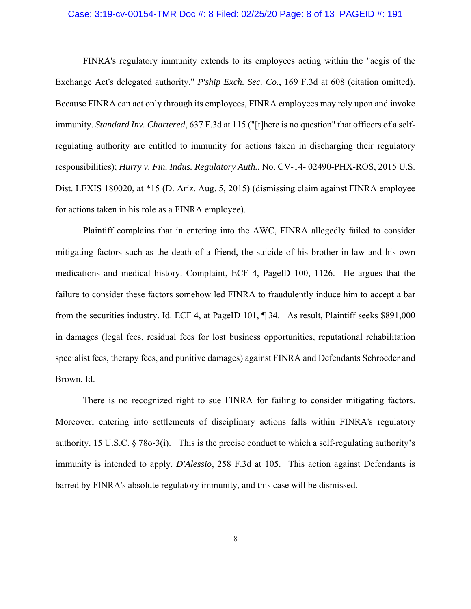#### Case: 3:19-cv-00154-TMR Doc #: 8 Filed: 02/25/20 Page: 8 of 13 PAGEID #: 191

FINRA's regulatory immunity extends to its employees acting within the "aegis of the Exchange Act's delegated authority." *P'ship Exch. Sec. Co.*, 169 F.3d at 608 (citation omitted). Because FINRA can act only through its employees, FINRA employees may rely upon and invoke immunity. *Standard Inv. Chartered*, 637 F.3d at 115 ("[t]here is no question" that officers of a selfregulating authority are entitled to immunity for actions taken in discharging their regulatory responsibilities); *Hurry v. Fin. Indus. Regulatory Auth.*, No. CV-14- 02490-PHX-ROS, 2015 U.S. Dist. LEXIS 180020, at \*15 (D. Ariz. Aug. 5, 2015) (dismissing claim against FINRA employee for actions taken in his role as a FINRA employee).

Plaintiff complains that in entering into the AWC, FINRA allegedly failed to consider mitigating factors such as the death of a friend, the suicide of his brother-in-law and his own medications and medical history. Complaint, ECF 4, PagelD 100, 1126. He argues that the failure to consider these factors somehow led FINRA to fraudulently induce him to accept a bar from the securities industry. Id. ECF 4, at PageID 101, ¶ 34. As result, Plaintiff seeks \$891,000 in damages (legal fees, residual fees for lost business opportunities, reputational rehabilitation specialist fees, therapy fees, and punitive damages) against FINRA and Defendants Schroeder and Brown. Id.

 There is no recognized right to sue FINRA for failing to consider mitigating factors. Moreover, entering into settlements of disciplinary actions falls within FINRA's regulatory authority. 15 U.S.C. § 78o-3(i). This is the precise conduct to which a self-regulating authority's immunity is intended to apply. *D'Alessio*, 258 F.3d at 105. This action against Defendants is barred by FINRA's absolute regulatory immunity, and this case will be dismissed.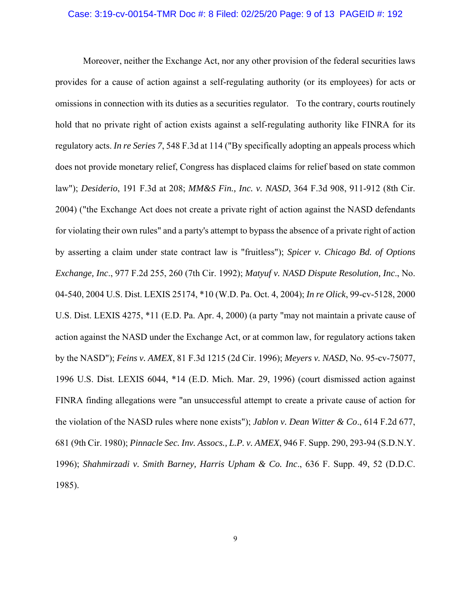#### Case: 3:19-cv-00154-TMR Doc #: 8 Filed: 02/25/20 Page: 9 of 13 PAGEID #: 192

Moreover, neither the Exchange Act, nor any other provision of the federal securities laws provides for a cause of action against a self-regulating authority (or its employees) for acts or omissions in connection with its duties as a securities regulator. To the contrary, courts routinely hold that no private right of action exists against a self-regulating authority like FINRA for its regulatory acts. *In re Series 7*, 548 F.3d at 114 ("By specifically adopting an appeals process which does not provide monetary relief, Congress has displaced claims for relief based on state common law"); *Desiderio*, 191 F.3d at 208; *MM&S Fin., Inc. v. NASD*, 364 F.3d 908, 911-912 (8th Cir. 2004) ("the Exchange Act does not create a private right of action against the NASD defendants for violating their own rules" and a party's attempt to bypass the absence of a private right of action by asserting a claim under state contract law is "fruitless"); *Spicer v. Chicago Bd. of Options Exchange, Inc*., 977 F.2d 255, 260 (7th Cir. 1992); *Matyuf v. NASD Dispute Resolution, Inc*., No. 04-540, 2004 U.S. Dist. LEXIS 25174, \*10 (W.D. Pa. Oct. 4, 2004); *In re Olick*, 99-cv-5128, 2000 U.S. Dist. LEXIS 4275, \*11 (E.D. Pa. Apr. 4, 2000) (a party "may not maintain a private cause of action against the NASD under the Exchange Act, or at common law, for regulatory actions taken by the NASD"); *Feins v. AMEX*, 81 F.3d 1215 (2d Cir. 1996); *Meyers v. NASD*, No. 95-cv-75077, 1996 U.S. Dist. LEXIS 6044, \*14 (E.D. Mich. Mar. 29, 1996) (court dismissed action against FINRA finding allegations were "an unsuccessful attempt to create a private cause of action for the violation of the NASD rules where none exists"); *Jablon v. Dean Witter & Co*., 614 F.2d 677, 681 (9th Cir. 1980); *Pinnacle Sec. Inv. Assocs., L.P. v. AMEX*, 946 F. Supp. 290, 293-94 (S.D.N.Y. 1996); *Shahmirzadi v. Smith Barney, Harris Upham & Co. Inc*., 636 F. Supp. 49, 52 (D.D.C. 1985).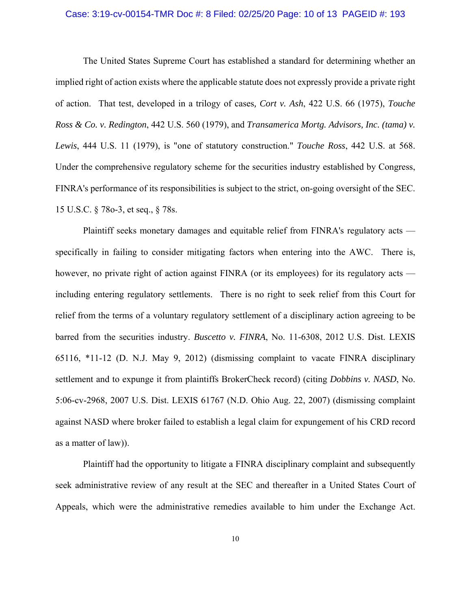#### Case: 3:19-cv-00154-TMR Doc #: 8 Filed: 02/25/20 Page: 10 of 13 PAGEID #: 193

The United States Supreme Court has established a standard for determining whether an implied right of action exists where the applicable statute does not expressly provide a private right of action. That test, developed in a trilogy of cases*, Cort v. Ash*, 422 U.S. 66 (1975), *Touche Ross & Co. v. Redington*, 442 U.S. 560 (1979), and *Transamerica Mortg. Advisors, Inc. (tama) v. Lewis*, 444 U.S. 11 (1979), is "one of statutory construction." *Touche Ross*, 442 U.S. at 568. Under the comprehensive regulatory scheme for the securities industry established by Congress, FINRA's performance of its responsibilities is subject to the strict, on-going oversight of the SEC. 15 U.S.C. § 78o-3, et seq., § 78s.

Plaintiff seeks monetary damages and equitable relief from FINRA's regulatory acts specifically in failing to consider mitigating factors when entering into the AWC. There is, however, no private right of action against FINRA (or its employees) for its regulatory acts including entering regulatory settlements. There is no right to seek relief from this Court for relief from the terms of a voluntary regulatory settlement of a disciplinary action agreeing to be barred from the securities industry. *Buscetto v. FINRA*, No. 11-6308, 2012 U.S. Dist. LEXIS 65116, \*11-12 (D. N.J. May 9, 2012) (dismissing complaint to vacate FINRA disciplinary settlement and to expunge it from plaintiffs BrokerCheck record) (citing *Dobbins v. NASD*, No. 5:06-cv-2968, 2007 U.S. Dist. LEXIS 61767 (N.D. Ohio Aug. 22, 2007) (dismissing complaint against NASD where broker failed to establish a legal claim for expungement of his CRD record as a matter of law)).

Plaintiff had the opportunity to litigate a FINRA disciplinary complaint and subsequently seek administrative review of any result at the SEC and thereafter in a United States Court of Appeals, which were the administrative remedies available to him under the Exchange Act.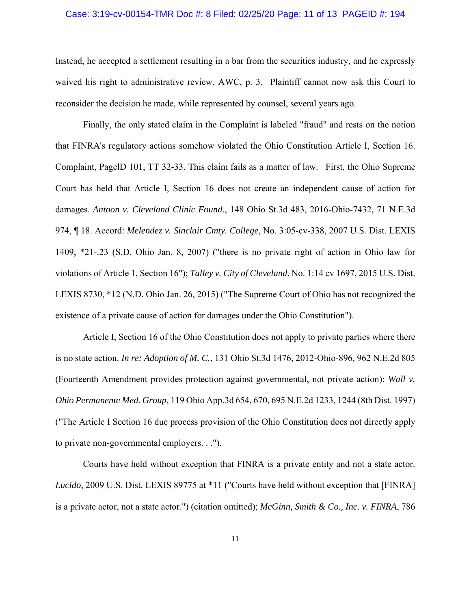#### Case: 3:19-cv-00154-TMR Doc #: 8 Filed: 02/25/20 Page: 11 of 13 PAGEID #: 194

Instead, he accepted a settlement resulting in a bar from the securities industry, and he expressly waived his right to administrative review. AWC, p. 3. Plaintiff cannot now ask this Court to reconsider the decision he made, while represented by counsel, several years ago.

Finally, the only stated claim in the Complaint is labeled "fraud" and rests on the notion that FINRA's regulatory actions somehow violated the Ohio Constitution Article I, Section 16. Complaint, PagelD 101, TT 32-33. This claim fails as a matter of law. First, the Ohio Supreme Court has held that Article I, Section 16 does not create an independent cause of action for damages. *Antoon v. Cleveland Clinic Found*., 148 Ohio St.3d 483, 2016-Ohio-7432, 71 N.E.3d 974, ¶ 18. Accord: *Melendez v. Sinclair Cmty. College*, No. 3:05-cv-338, 2007 U.S. Dist. LEXIS 1409, \*21-.23 (S.D. Ohio Jan. 8, 2007) ("there is no private right of action in Ohio law for violations of Article 1, Section 16"); *Talley v. City of Cleveland*, No. 1:14 cv 1697, 2015 U.S. Dist. LEXIS 8730, \*12 (N.D. Ohio Jan. 26, 2015) ("The Supreme Court of Ohio has not recognized the existence of a private cause of action for damages under the Ohio Constitution").

Article I, Section 16 of the Ohio Constitution does not apply to private parties where there is no state action. *In re: Adoption of M. C.*, 131 Ohio St.3d 1476, 2012-Ohio-896, 962 N.E.2d 805 (Fourteenth Amendment provides protection against governmental, not private action); *Wall v. Ohio Permanente Med. Group*, 119 Ohio App.3d 654, 670, 695 N.E.2d 1233, 1244 (8th Dist. 1997) ("The Article I Section 16 due process provision of the Ohio Constitution does not directly apply to private non-governmental employers. . .").

Courts have held without exception that FINRA is a private entity and not a state actor. *Lucido*, 2009 U.S. Dist. LEXIS 89775 at \*11 ("Courts have held without exception that [FINRA] is a private actor, not a state actor.") (citation omitted); *McGinn, Smith & Co., Inc. v. FINRA*, 786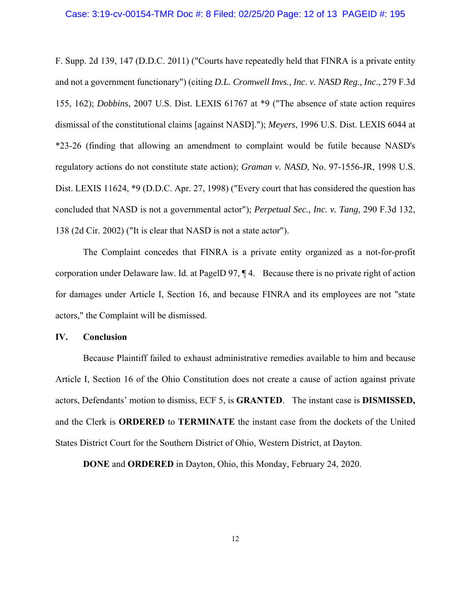F. Supp. 2d 139, 147 (D.D.C. 2011) ("Courts have repeatedly held that FINRA is a private entity and not a government functionary") (citing *D.L. Cromwell Invs., Inc. v. NASD Reg., Inc*., 279 F.3d 155, 162); *Dobbins*, 2007 U.S. Dist. LEXIS 61767 at \*9 ("The absence of state action requires dismissal of the constitutional claims [against NASD]."); *Meyers*, 1996 U.S. Dist. LEXIS 6044 at \*23-26 (finding that allowing an amendment to complaint would be futile because NASD's regulatory actions do not constitute state action); *Graman v. NASD*, No. 97-1556-JR, 1998 U.S. Dist. LEXIS 11624, \*9 (D.D.C. Apr. 27, 1998) ("Every court that has considered the question has concluded that NASD is not a governmental actor"); *Perpetual Sec., Inc. v. Tang*, 290 F.3d 132, 138 (2d Cir. 2002) ("It is clear that NASD is not a state actor").

The Complaint concedes that FINRA is a private entity organized as a not-for-profit corporation under Delaware law. Id. at PagelD 97, ¶ 4. Because there is no private right of action for damages under Article I, Section 16, and because FINRA and its employees are not "state actors," the Complaint will be dismissed.

#### **IV. Conclusion**

Because Plaintiff failed to exhaust administrative remedies available to him and because Article I, Section 16 of the Ohio Constitution does not create a cause of action against private actors, Defendants' motion to dismiss, ECF 5, is **GRANTED**. The instant case is **DISMISSED,** and the Clerk is **ORDERED** to **TERMINATE** the instant case from the dockets of the United States District Court for the Southern District of Ohio, Western District, at Dayton.

**DONE** and **ORDERED** in Dayton, Ohio, this Monday, February 24, 2020.